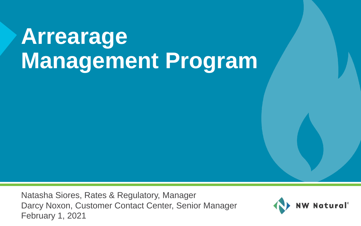Natasha Siores, Rates & Regulatory, Manager Darcy Noxon, Customer Contact Center, Senior Manager February 1, 2021

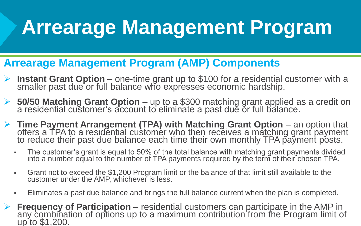- **Arrearage Management Program (AMP) Components**
- ➢ **Instant Grant Option –** one-time grant up to \$100 for a residential customer with a smaller past due or full balance who expresses economic hardship.
- ➢ **50/50 Matching Grant Option** up to a \$300 matching grant applied as a credit on a residential customer's account to eliminate a past due or full balance.
- ➢ **Time Payment Arrangement (TPA) with Matching Grant Option** an option that offers a TPA to a residential customer who then receives a matching grant payment to reduce their past due balance each time their own monthly TPA payment posts.
	- The customer's grant is equal to 50% of the total balance with matching grant payments divided into a number equal to the number of TPA payments required by the term of their chosen TPA.
	- **•** Grant not to exceed the \$1,200 Program limit or the balance of that limit still available to the customer under the AMP, whichever is less.
	- Eliminates a past due balance and brings the full balance current when the plan is completed.
- ➢ **Frequency of Participation –** residential customers can participate in the AMP in any combination of options up to a maximum contribution from the Program limit of up to \$1,200.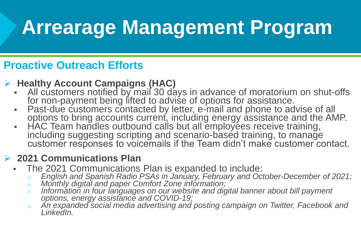### **Proactive Outreach Efforts**

#### ➢ **Healthy Account Campaigns (HAC)**

- All customers notified by mail 30 days in advance of moratorium on shut-offs for non-payment being lifted to advise of options for assistance.
- Past-due customers contacted by letter, e-mail and phone to advise of all options to bring accounts current, including energy assistance and the AMP.
- HAC Team handles outbound calls but all employees receive training, including suggesting scripting and scenario-based training, to manage customer responses to voicemails if the Team didn't make customer contact.

#### ➢ **2021 Communications Plan**

- The 2021 Communications Plan is expanded to include:
	- o *English and Spanish Radio PSAs in January, February and October-December of 2021;*
	- o *Monthly digital and paper Comfort Zone information;*
	- o *Information in four languages on our website and digital banner about bill payment options, energy assistance and COVID-19;*
	- o *An expanded social media advertising and posting campaign on Twitter, Facebook and LinkedIn.*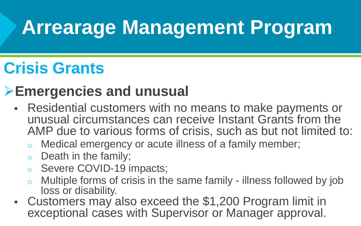## **Crisis Grants**

### ➢**Emergencies and unusual**

- Residential customers with no means to make payments or unusual circumstances can receive Instant Grants from the AMP due to various forms of crisis, such as but not limited to:
	- o Medical emergency or acute illness of a family member;
	- $\circ$  Death in the family;
	- o Severe COVID-19 impacts;
	- o Multiple forms of crisis in the same family illness followed by job loss or disability.
- Customers may also exceed the \$1,200 Program limit in exceptional cases with Supervisor or Manager approval.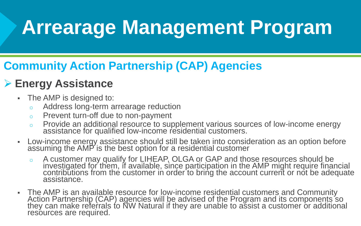### **Community Action Partnership (CAP) Agencies**

### ➢ **Energy Assistance**

- **The AMP is designed to:** 
	- o Address long-term arrearage reduction
	- o Prevent turn-off due to non-payment
	- o Provide an additional resource to supplement various sources of low-income energy assistance for qualified low-income residential customers.
- **EXED THST Income energy assistance should still be taken into consideration as an option before** assuming the AMP is the best option for a residential customer
	- o A customer may qualify for LIHEAP, OLGA or GAP and those resources should be investigated for them, if available, since participation in the AMP might require financial contributions from the customer in order to bring the account current or not be adequate assistance.
- The AMP is an available resource for low-income residential customers and Community Action Partnership (CAP) agencies will be advised of the Program and its components so they can make referrals to NW Natural if they are unable to assist a customer or additional resources are required.